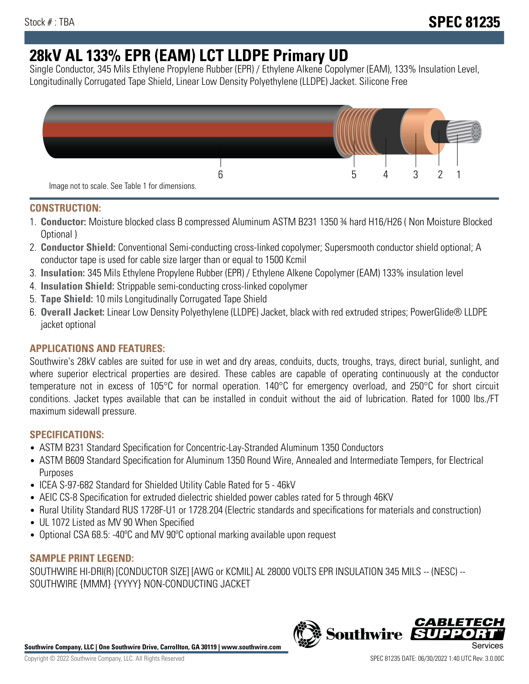# **28kV AL 133% EPR (EAM) LCT LLDPE Primary UD**

Single Conductor, 345 Mils Ethylene Propylene Rubber (EPR) / Ethylene Alkene Copolymer (EAM), 133% Insulation Level, Longitudinally Corrugated Tape Shield, Linear Low Density Polyethylene (LLDPE) Jacket. Silicone Free



### **CONSTRUCTION:**

- 1. **Conductor:** Moisture blocked class B compressed Aluminum ASTM B231 1350 ¾ hard H16/H26 ( Non Moisture Blocked Optional )
- 2. **Conductor Shield:** Conventional Semi-conducting cross-linked copolymer; Supersmooth conductor shield optional; A conductor tape is used for cable size larger than or equal to 1500 Kcmil
- 3. **Insulation:** 345 Mils Ethylene Propylene Rubber (EPR) / Ethylene Alkene Copolymer (EAM) 133% insulation level
- 4. **Insulation Shield:** Strippable semi-conducting cross-linked copolymer
- 5. **Tape Shield:** 10 mils Longitudinally Corrugated Tape Shield
- 6. **Overall Jacket:** Linear Low Density Polyethylene (LLDPE) Jacket, black with red extruded stripes; PowerGlide® LLDPE jacket optional

# **APPLICATIONS AND FEATURES:**

Southwire's 28kV cables are suited for use in wet and dry areas, conduits, ducts, troughs, trays, direct burial, sunlight, and where superior electrical properties are desired. These cables are capable of operating continuously at the conductor temperature not in excess of 105°C for normal operation. 140°C for emergency overload, and 250°C for short circuit conditions. Jacket types available that can be installed in conduit without the aid of lubrication. Rated for 1000 lbs./FT maximum sidewall pressure.

#### **SPECIFICATIONS:**

- ASTM B231 Standard Specification for Concentric-Lay-Stranded Aluminum 1350 Conductors
- ASTM B609 Standard Specification for Aluminum 1350 Round Wire, Annealed and Intermediate Tempers, for Electrical Purposes
- ICEA S-97-682 Standard for Shielded Utility Cable Rated for 5 46kV
- AEIC CS-8 Specification for extruded dielectric shielded power cables rated for 5 through 46KV
- Rural Utility Standard RUS 1728F-U1 or 1728.204 (Electric standards and specifications for materials and construction)
- UL 1072 Listed as MV 90 When Specified
- Optional CSA 68.5: -40ºC and MV 90ºC optional marking available upon request

#### **SAMPLE PRINT LEGEND:**

SOUTHWIRE HI-DRI(R) [CONDUCTOR SIZE] [AWG or KCMIL] AL 28000 VOLTS EPR INSULATION 345 MILS -- (NESC) -- SOUTHWIRE {MMM} {YYYY} NON-CONDUCTING JACKET



**Southwire** 

**CABLE1**